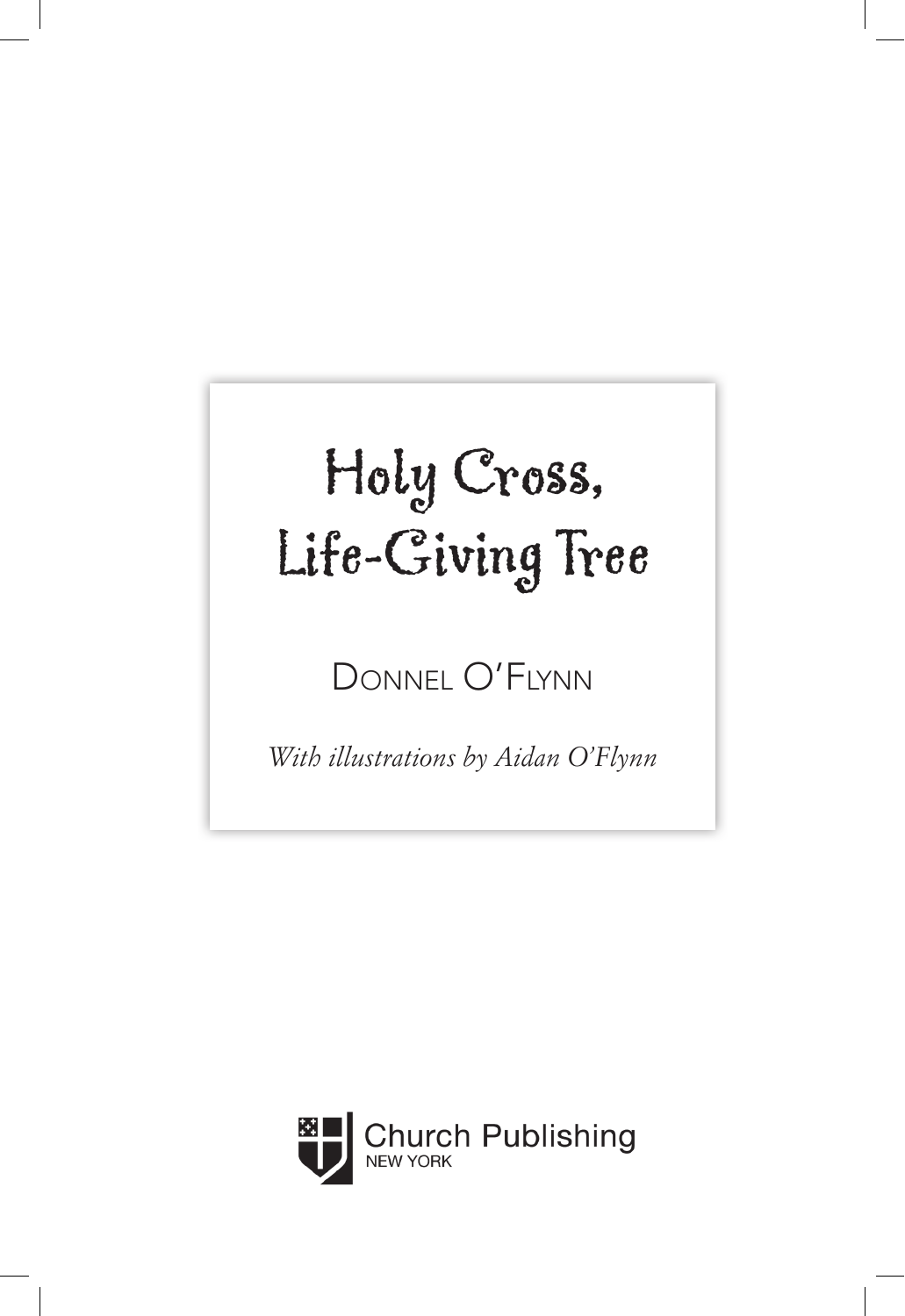

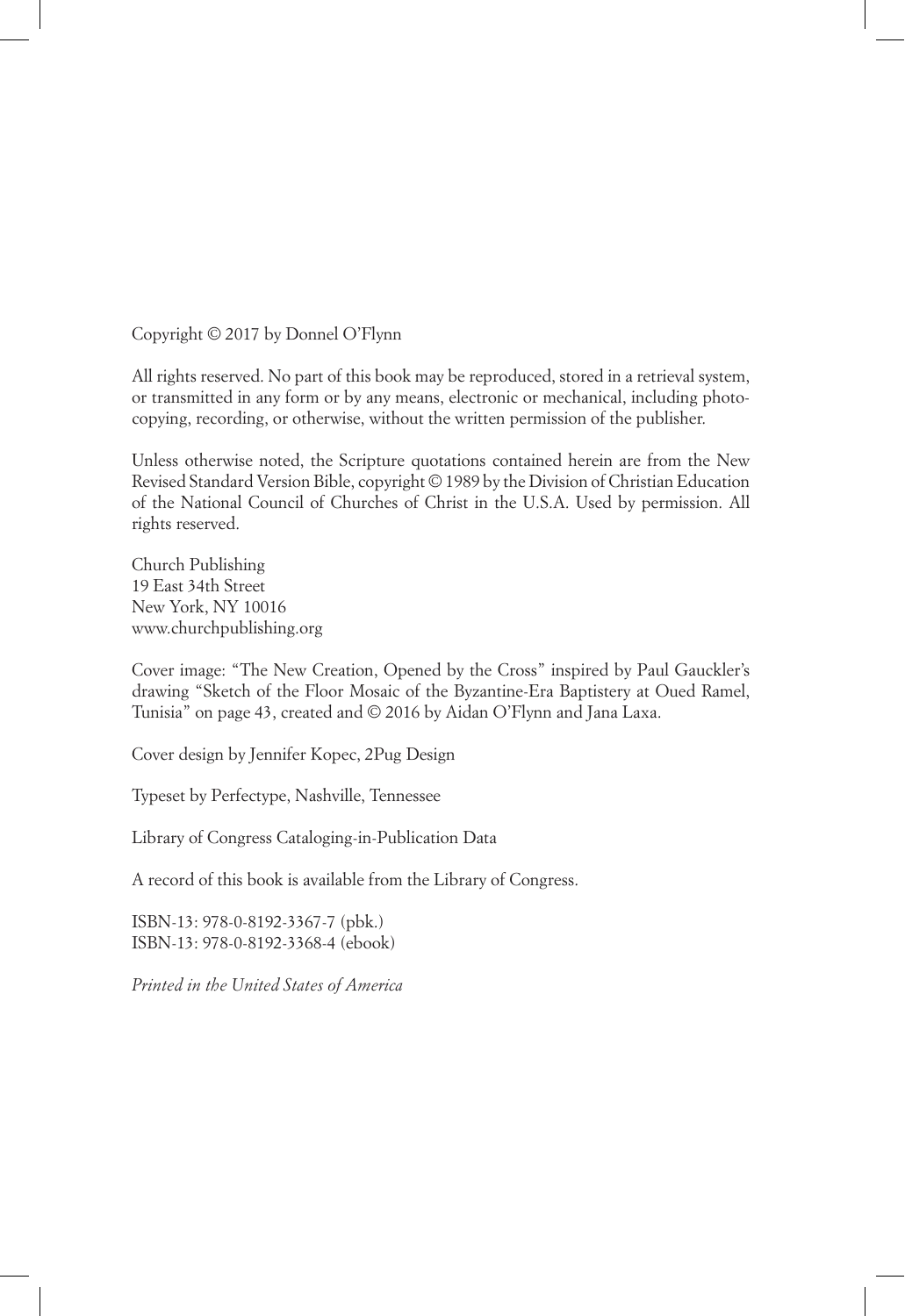Copyright © 2017 by Donnel O'Flynn

All rights reserved. No part of this book may be reproduced, stored in a retrieval system, or transmitted in any form or by any means, electronic or mechanical, including photocopying, recording, or otherwise, without the written permission of the publisher.

Unless otherwise noted, the Scripture quotations contained herein are from the New Revised Standard Version Bible, copyright © 1989 by the Division of Christian Education of the National Council of Churches of Christ in the U.S.A. Used by permission. All rights reserved.

Church Publishing 19 East 34th Street New York, NY 10016 www.churchpublishing.org

Cover image: "The New Creation, Opened by the Cross" inspired by Paul Gauckler's drawing "Sketch of the Floor Mosaic of the Byzantine-Era Baptistery at Oued Ramel, Tunisia" on page 43, created and © 2016 by Aidan O'Flynn and Jana Laxa.

Cover design by Jennifer Kopec, 2Pug Design

Typeset by Perfectype, Nashville, Tennessee

Library of Congress Cataloging-in-Publication Data

A record of this book is available from the Library of Congress.

ISBN-13: 978-0-8192-3367-7 (pbk.) ISBN-13: 978-0-8192-3368-4 (ebook)

*Printed in the United States of America*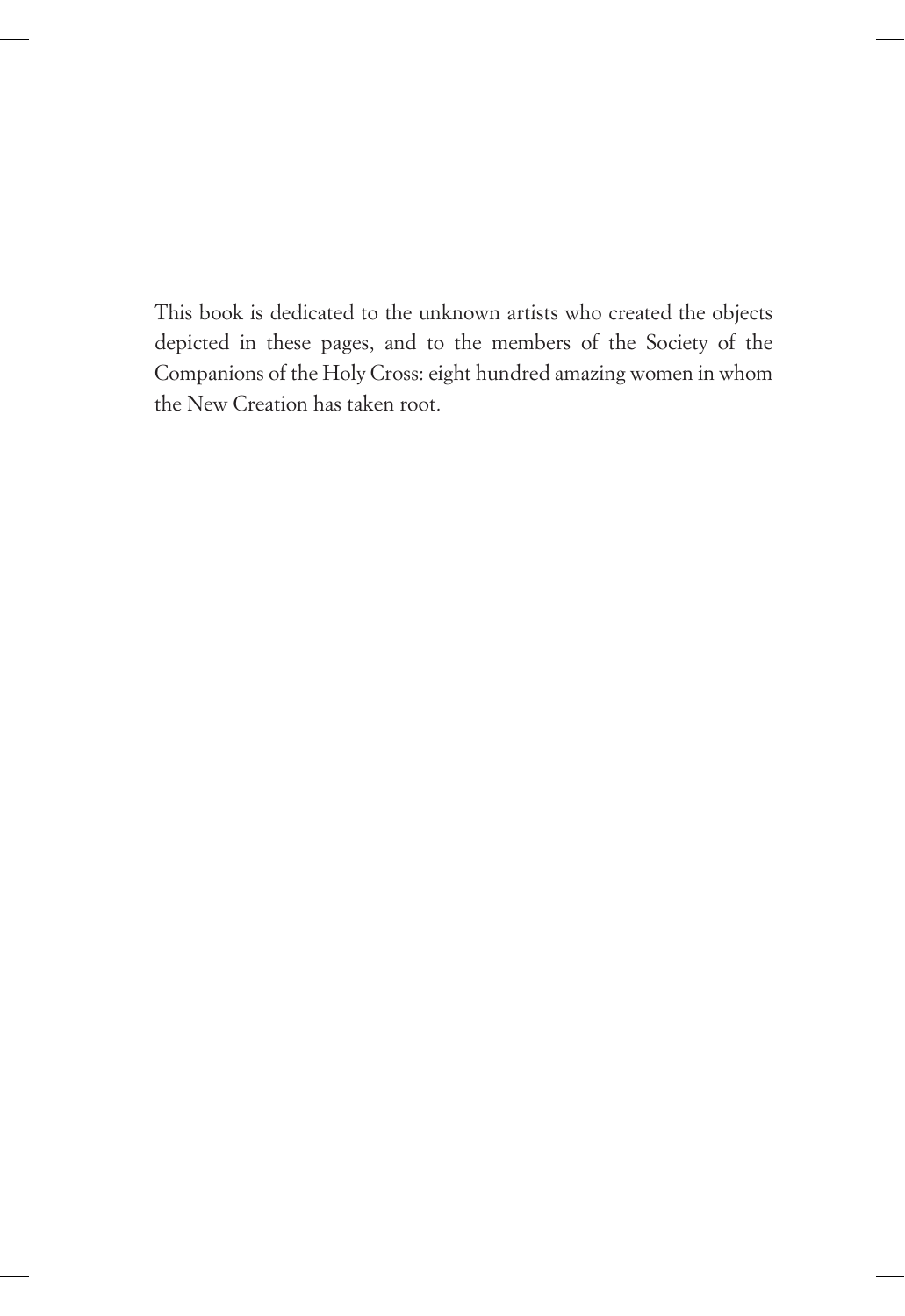This book is dedicated to the unknown artists who created the objects depicted in these pages, and to the members of the Society of the Companions of the Holy Cross: eight hundred amazing women in whom the New Creation has taken root.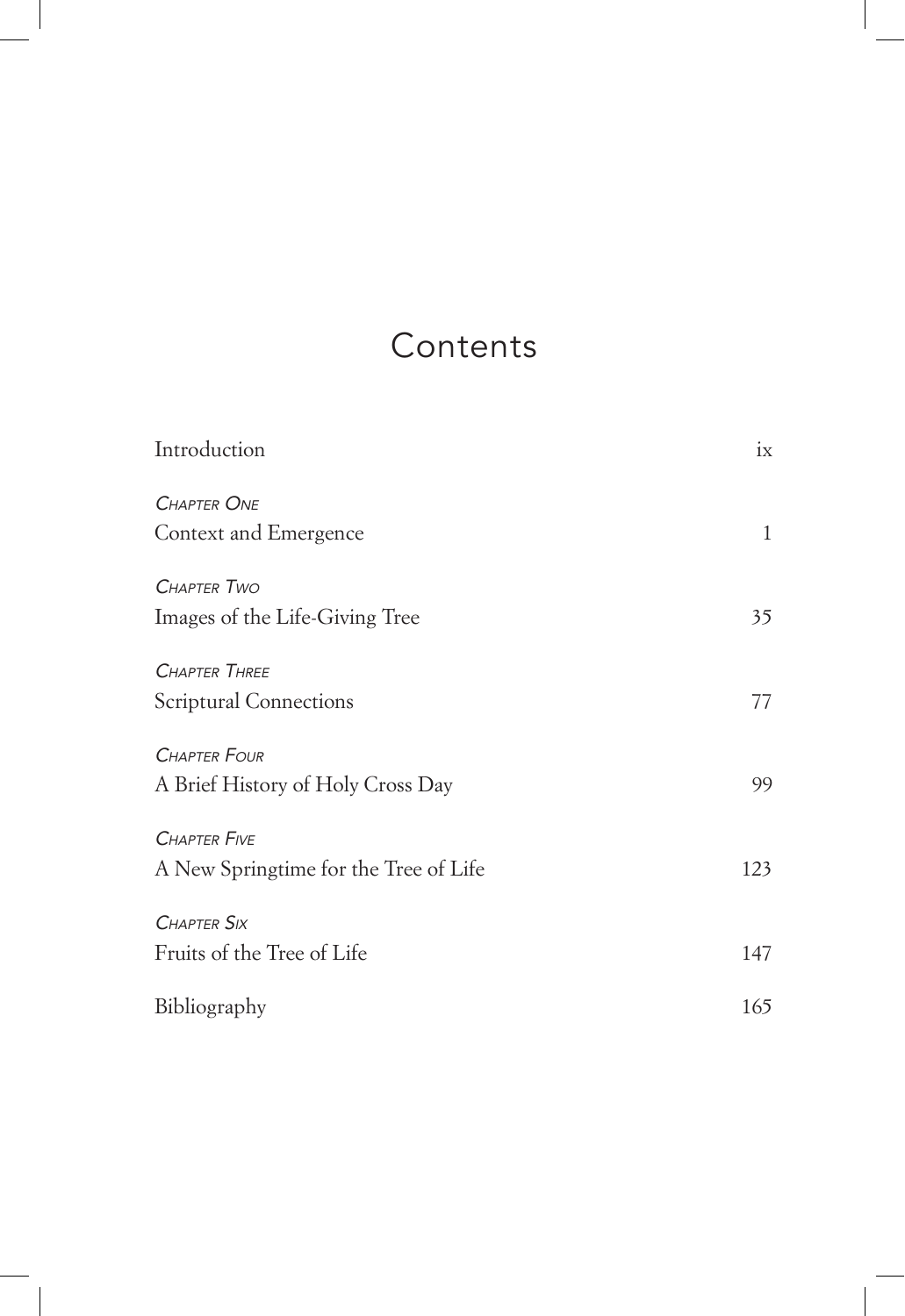# **Contents**

| Introduction                          | ix  |
|---------------------------------------|-----|
| <b>CHAPTER ONE</b>                    |     |
| Context and Emergence                 | 1   |
| <b>CHAPTER TWO</b>                    |     |
| Images of the Life-Giving Tree        | 35  |
| <b>CHAPTER THREE</b>                  |     |
| Scriptural Connections                | 77  |
| <b>CHAPTER FOUR</b>                   |     |
| A Brief History of Holy Cross Day     | 99  |
| <b>CHAPTER FIVE</b>                   |     |
| A New Springtime for the Tree of Life | 123 |
| <b>CHAPTER SIX</b>                    |     |
| Fruits of the Tree of Life            | 147 |
| Bibliography                          | 165 |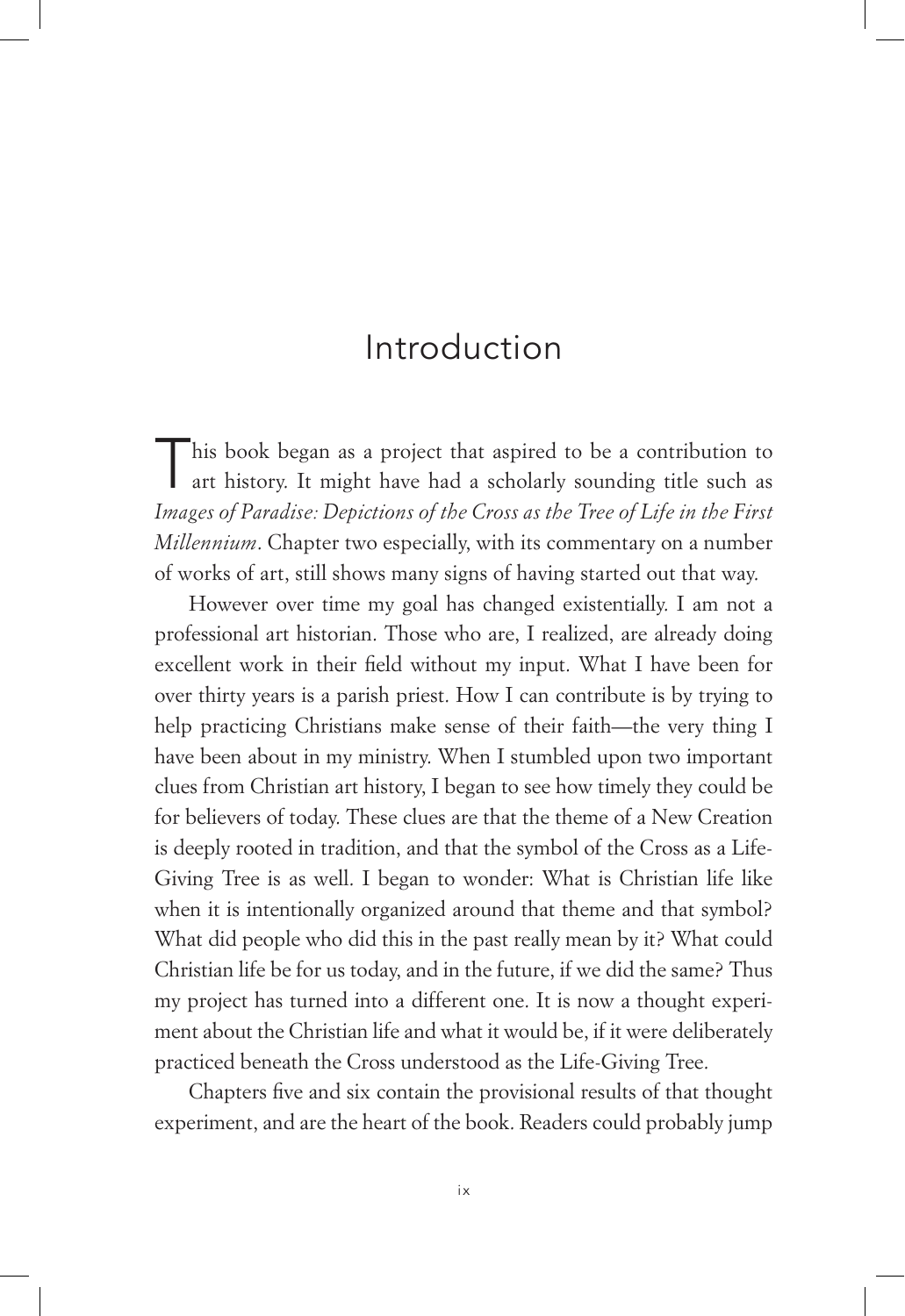## Introduction

This book began as a project that aspired to be a contribution to art history. It might have had a scholarly sounding title such as *Images of Paradise: Depictions of the Cross as the Tree of Life in the First Millennium*. Chapter two especially, with its commentary on a number of works of art, still shows many signs of having started out that way.

However over time my goal has changed existentially. I am not a professional art historian. Those who are, I realized, are already doing excellent work in their field without my input. What I have been for over thirty years is a parish priest. How I can contribute is by trying to help practicing Christians make sense of their faith—the very thing I have been about in my ministry. When I stumbled upon two important clues from Christian art history, I began to see how timely they could be for believers of today. These clues are that the theme of a New Creation is deeply rooted in tradition, and that the symbol of the Cross as a Life-Giving Tree is as well. I began to wonder: What is Christian life like when it is intentionally organized around that theme and that symbol? What did people who did this in the past really mean by it? What could Christian life be for us today, and in the future, if we did the same? Thus my project has turned into a different one. It is now a thought experiment about the Christian life and what it would be, if it were deliberately practiced beneath the Cross understood as the Life-Giving Tree.

Chapters five and six contain the provisional results of that thought experiment, and are the heart of the book. Readers could probably jump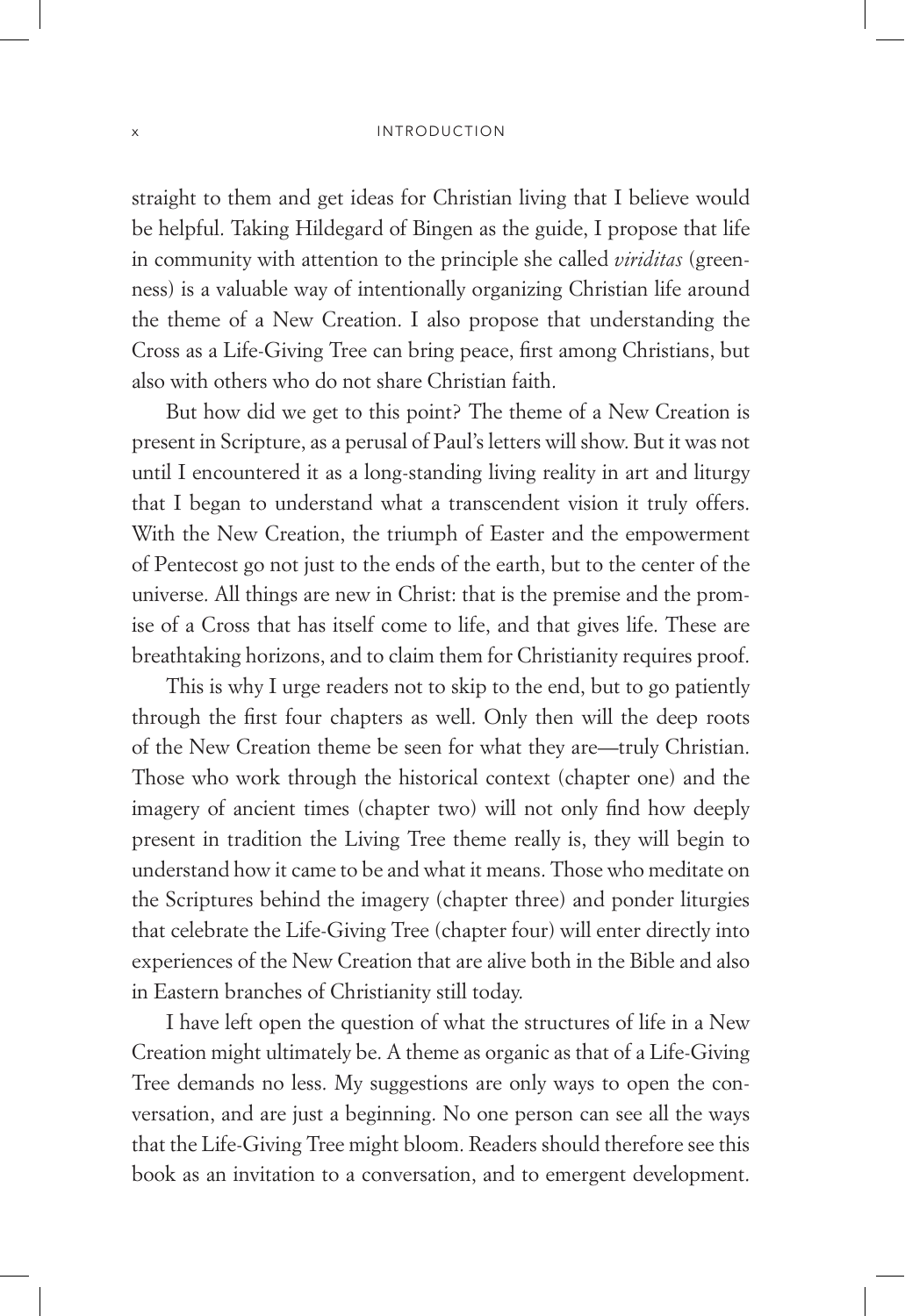#### x Introduction

straight to them and get ideas for Christian living that I believe would be helpful. Taking Hildegard of Bingen as the guide, I propose that life in community with attention to the principle she called *viriditas* (greenness) is a valuable way of intentionally organizing Christian life around the theme of a New Creation. I also propose that understanding the Cross as a Life-Giving Tree can bring peace, first among Christians, but also with others who do not share Christian faith.

But how did we get to this point? The theme of a New Creation is present in Scripture, as a perusal of Paul's letters will show. But it was not until I encountered it as a long-standing living reality in art and liturgy that I began to understand what a transcendent vision it truly offers. With the New Creation, the triumph of Easter and the empowerment of Pentecost go not just to the ends of the earth, but to the center of the universe. All things are new in Christ: that is the premise and the promise of a Cross that has itself come to life, and that gives life. These are breathtaking horizons, and to claim them for Christianity requires proof.

This is why I urge readers not to skip to the end, but to go patiently through the first four chapters as well. Only then will the deep roots of the New Creation theme be seen for what they are—truly Christian. Those who work through the historical context (chapter one) and the imagery of ancient times (chapter two) will not only find how deeply present in tradition the Living Tree theme really is, they will begin to understand how it came to be and what it means. Those who meditate on the Scriptures behind the imagery (chapter three) and ponder liturgies that celebrate the Life-Giving Tree (chapter four) will enter directly into experiences of the New Creation that are alive both in the Bible and also in Eastern branches of Christianity still today.

I have left open the question of what the structures of life in a New Creation might ultimately be. A theme as organic as that of a Life-Giving Tree demands no less. My suggestions are only ways to open the conversation, and are just a beginning. No one person can see all the ways that the Life-Giving Tree might bloom. Readers should therefore see this book as an invitation to a conversation, and to emergent development.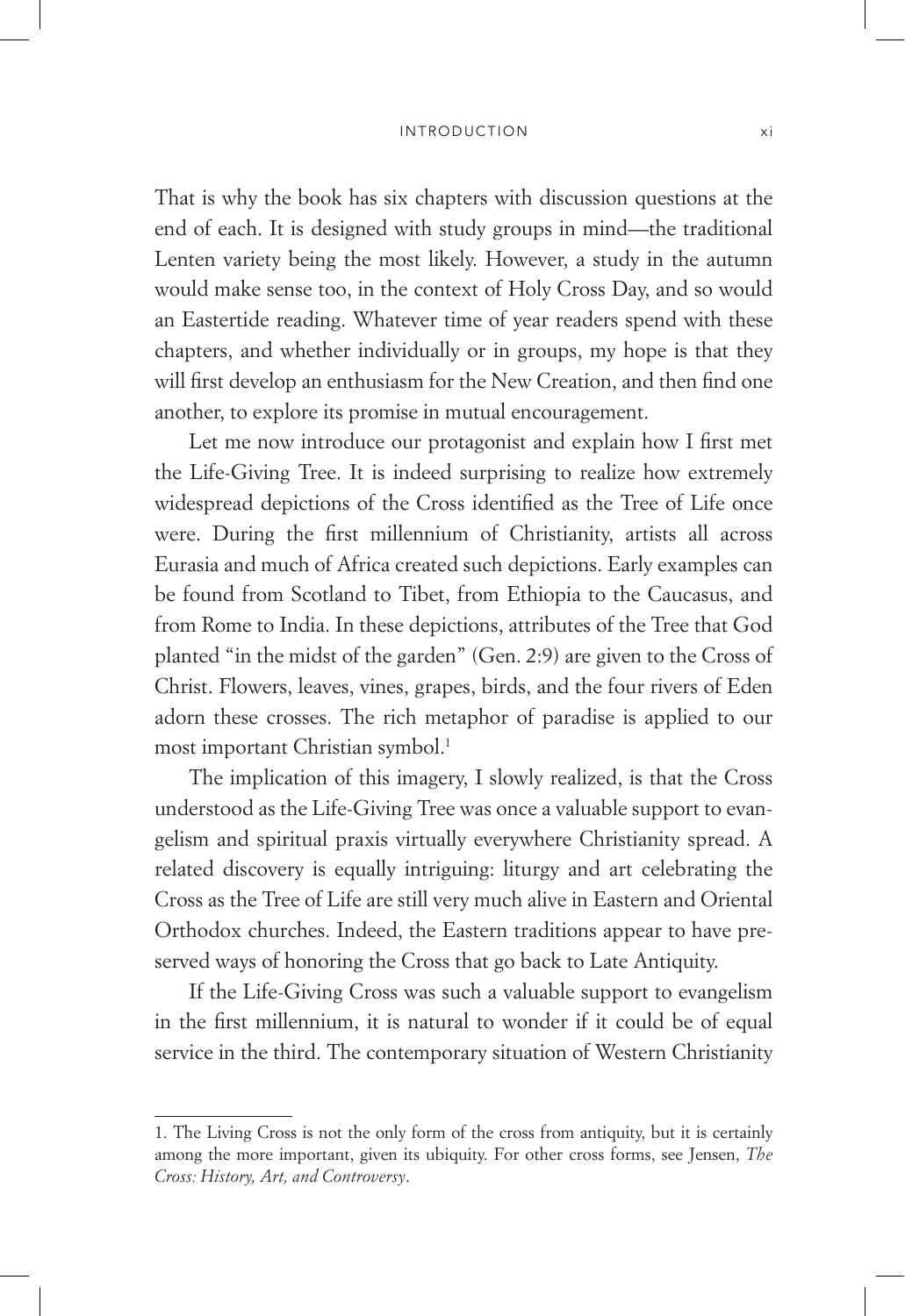#### Introduction xi

That is why the book has six chapters with discussion questions at the end of each. It is designed with study groups in mind—the traditional Lenten variety being the most likely. However, a study in the autumn would make sense too, in the context of Holy Cross Day, and so would an Eastertide reading. Whatever time of year readers spend with these chapters, and whether individually or in groups, my hope is that they will first develop an enthusiasm for the New Creation, and then find one another, to explore its promise in mutual encouragement.

Let me now introduce our protagonist and explain how I first met the Life-Giving Tree. It is indeed surprising to realize how extremely widespread depictions of the Cross identified as the Tree of Life once were. During the first millennium of Christianity, artists all across Eurasia and much of Africa created such depictions. Early examples can be found from Scotland to Tibet, from Ethiopia to the Caucasus, and from Rome to India. In these depictions, attributes of the Tree that God planted "in the midst of the garden" (Gen. 2:9) are given to the Cross of Christ. Flowers, leaves, vines, grapes, birds, and the four rivers of Eden adorn these crosses. The rich metaphor of paradise is applied to our most important Christian symbol.<sup>1</sup>

The implication of this imagery, I slowly realized, is that the Cross understood as the Life-Giving Tree was once a valuable support to evangelism and spiritual praxis virtually everywhere Christianity spread. A related discovery is equally intriguing: liturgy and art celebrating the Cross as the Tree of Life are still very much alive in Eastern and Oriental Orthodox churches. Indeed, the Eastern traditions appear to have preserved ways of honoring the Cross that go back to Late Antiquity.

If the Life-Giving Cross was such a valuable support to evangelism in the first millennium, it is natural to wonder if it could be of equal service in the third. The contemporary situation of Western Christianity

<sup>1.</sup> The Living Cross is not the only form of the cross from antiquity, but it is certainly among the more important, given its ubiquity. For other cross forms, see Jensen, *The Cross: History, Art, and Controversy*.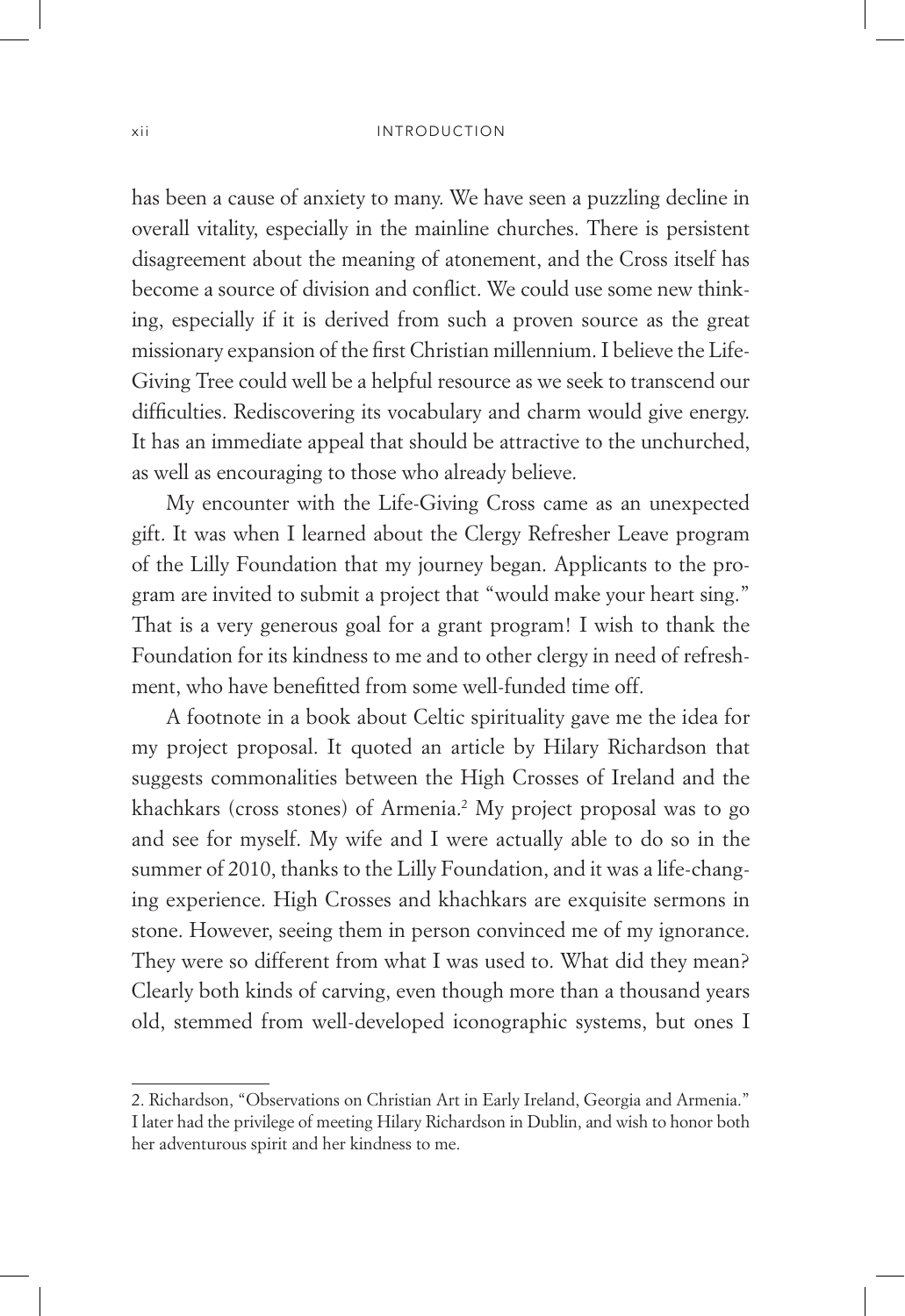has been a cause of anxiety to many. We have seen a puzzling decline in overall vitality, especially in the mainline churches. There is persistent disagreement about the meaning of atonement, and the Cross itself has become a source of division and conflict. We could use some new thinking, especially if it is derived from such a proven source as the great missionary expansion of the first Christian millennium. I believe the Life-Giving Tree could well be a helpful resource as we seek to transcend our difficulties. Rediscovering its vocabulary and charm would give energy. It has an immediate appeal that should be attractive to the unchurched, as well as encouraging to those who already believe.

My encounter with the Life-Giving Cross came as an unexpected gift. It was when I learned about the Clergy Refresher Leave program of the Lilly Foundation that my journey began. Applicants to the program are invited to submit a project that "would make your heart sing." That is a very generous goal for a grant program! I wish to thank the Foundation for its kindness to me and to other clergy in need of refreshment, who have benefitted from some well-funded time off.

A footnote in a book about Celtic spirituality gave me the idea for my project proposal. It quoted an article by Hilary Richardson that suggests commonalities between the High Crosses of Ireland and the khachkars (cross stones) of Armenia.2 My project proposal was to go and see for myself. My wife and I were actually able to do so in the summer of 2010, thanks to the Lilly Foundation, and it was a life-changing experience. High Crosses and khachkars are exquisite sermons in stone. However, seeing them in person convinced me of my ignorance. They were so different from what I was used to. What did they mean? Clearly both kinds of carving, even though more than a thousand years old, stemmed from well-developed iconographic systems, but ones I

<sup>2.</sup> Richardson, "Observations on Christian Art in Early Ireland, Georgia and Armenia." I later had the privilege of meeting Hilary Richardson in Dublin, and wish to honor both her adventurous spirit and her kindness to me.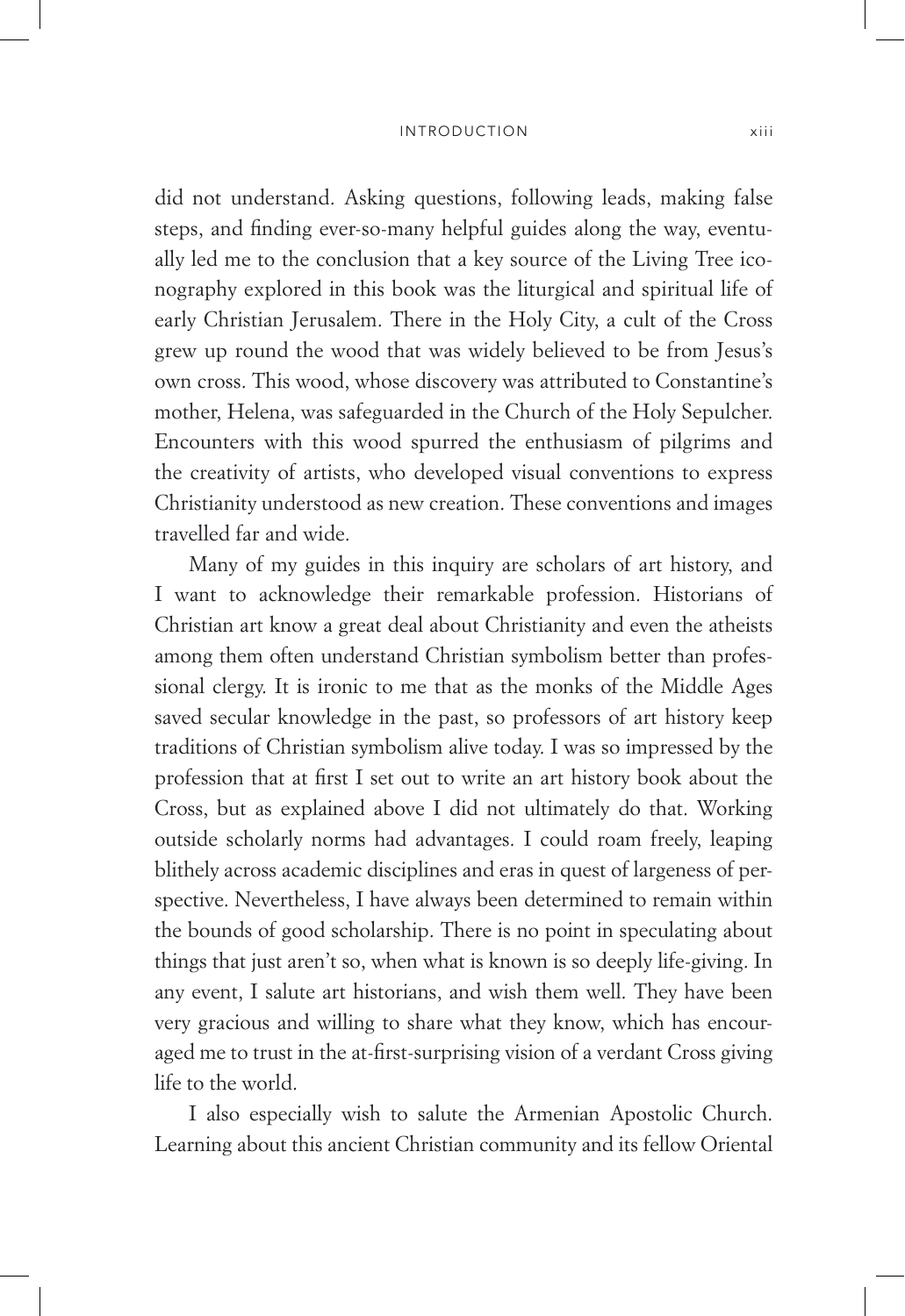#### INTRODUCTION xiii

did not understand. Asking questions, following leads, making false steps, and finding ever-so-many helpful guides along the way, eventually led me to the conclusion that a key source of the Living Tree iconography explored in this book was the liturgical and spiritual life of early Christian Jerusalem. There in the Holy City, a cult of the Cross grew up round the wood that was widely believed to be from Jesus's own cross. This wood, whose discovery was attributed to Constantine's mother, Helena, was safeguarded in the Church of the Holy Sepulcher. Encounters with this wood spurred the enthusiasm of pilgrims and the creativity of artists, who developed visual conventions to express Christianity understood as new creation. These conventions and images travelled far and wide.

Many of my guides in this inquiry are scholars of art history, and I want to acknowledge their remarkable profession. Historians of Christian art know a great deal about Christianity and even the atheists among them often understand Christian symbolism better than professional clergy. It is ironic to me that as the monks of the Middle Ages saved secular knowledge in the past, so professors of art history keep traditions of Christian symbolism alive today. I was so impressed by the profession that at first I set out to write an art history book about the Cross, but as explained above I did not ultimately do that. Working outside scholarly norms had advantages. I could roam freely, leaping blithely across academic disciplines and eras in quest of largeness of perspective. Nevertheless, I have always been determined to remain within the bounds of good scholarship. There is no point in speculating about things that just aren't so, when what is known is so deeply life-giving. In any event, I salute art historians, and wish them well. They have been very gracious and willing to share what they know, which has encouraged me to trust in the at-first-surprising vision of a verdant Cross giving life to the world.

I also especially wish to salute the Armenian Apostolic Church. Learning about this ancient Christian community and its fellow Oriental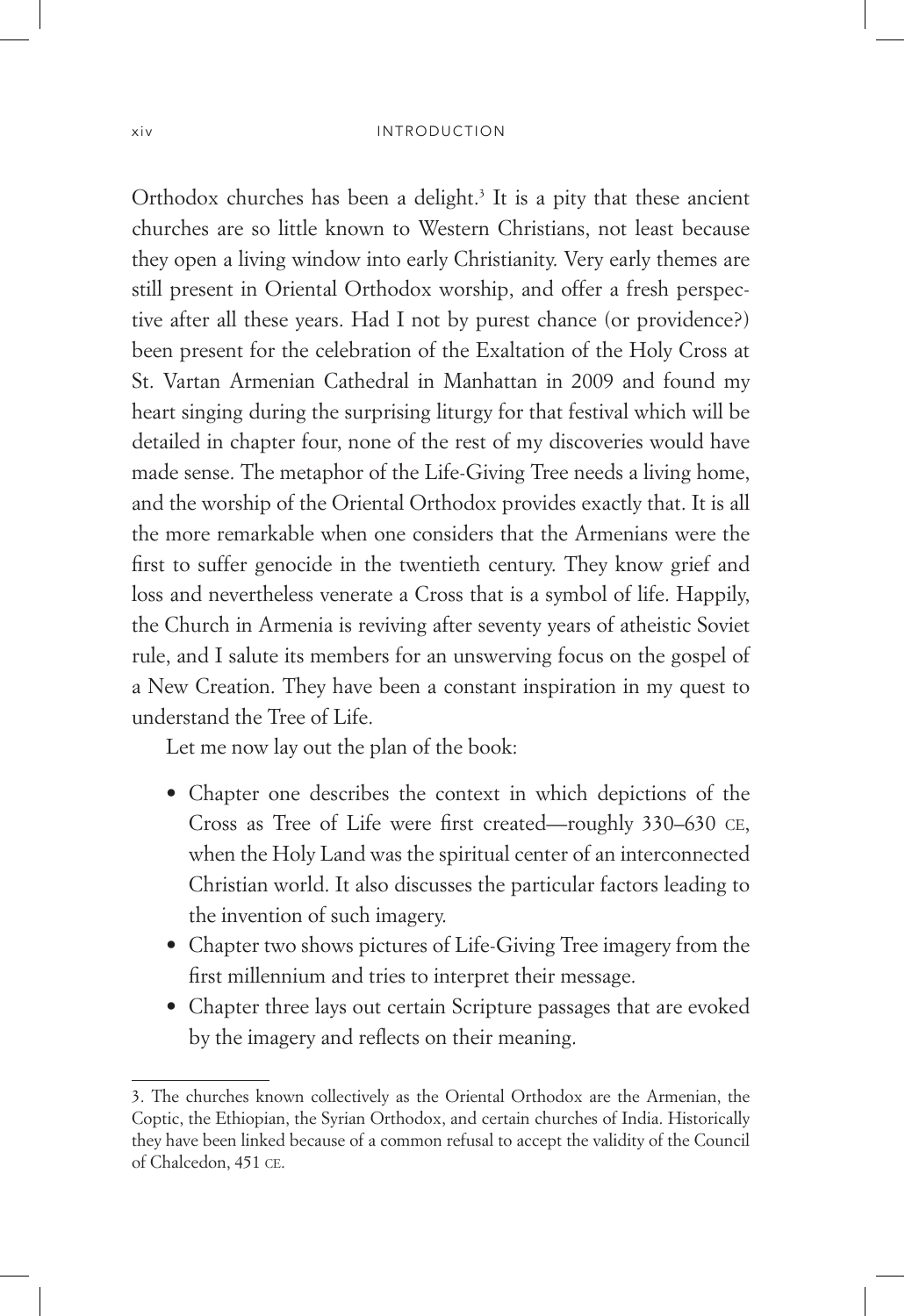Orthodox churches has been a delight.<sup>3</sup> It is a pity that these ancient churches are so little known to Western Christians, not least because they open a living window into early Christianity. Very early themes are still present in Oriental Orthodox worship, and offer a fresh perspective after all these years. Had I not by purest chance (or providence?) been present for the celebration of the Exaltation of the Holy Cross at St. Vartan Armenian Cathedral in Manhattan in 2009 and found my heart singing during the surprising liturgy for that festival which will be detailed in chapter four, none of the rest of my discoveries would have made sense. The metaphor of the Life-Giving Tree needs a living home, and the worship of the Oriental Orthodox provides exactly that. It is all the more remarkable when one considers that the Armenians were the first to suffer genocide in the twentieth century. They know grief and loss and nevertheless venerate a Cross that is a symbol of life. Happily, the Church in Armenia is reviving after seventy years of atheistic Soviet rule, and I salute its members for an unswerving focus on the gospel of a New Creation. They have been a constant inspiration in my quest to understand the Tree of Life.

Let me now lay out the plan of the book:

- Chapter one describes the context in which depictions of the Cross as Tree of Life were first created—roughly 330–630 ce, when the Holy Land was the spiritual center of an interconnected Christian world. It also discusses the particular factors leading to the invention of such imagery.
- Chapter two shows pictures of Life-Giving Tree imagery from the first millennium and tries to interpret their message.
- Chapter three lays out certain Scripture passages that are evoked by the imagery and reflects on their meaning.

<sup>3.</sup> The churches known collectively as the Oriental Orthodox are the Armenian, the Coptic, the Ethiopian, the Syrian Orthodox, and certain churches of India. Historically they have been linked because of a common refusal to accept the validity of the Council of Chalcedon, 451 ce.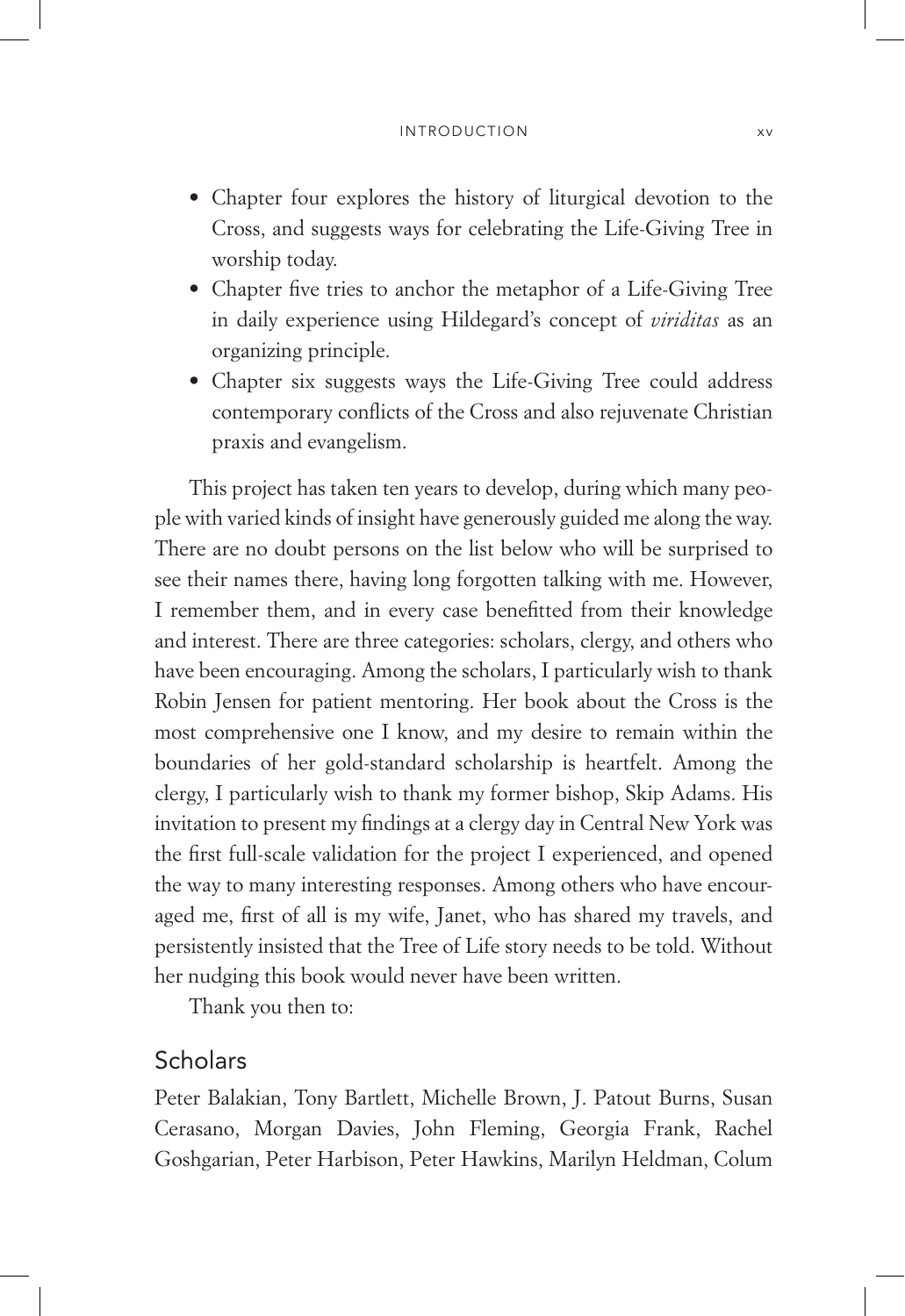- Chapter four explores the history of liturgical devotion to the Cross, and suggests ways for celebrating the Life-Giving Tree in worship today.
- Chapter five tries to anchor the metaphor of a Life-Giving Tree in daily experience using Hildegard's concept of *viriditas* as an organizing principle.
- Chapter six suggests ways the Life-Giving Tree could address contemporary conflicts of the Cross and also rejuvenate Christian praxis and evangelism.

This project has taken ten years to develop, during which many people with varied kinds of insight have generously guided me along the way. There are no doubt persons on the list below who will be surprised to see their names there, having long forgotten talking with me. However, I remember them, and in every case benefitted from their knowledge and interest. There are three categories: scholars, clergy, and others who have been encouraging. Among the scholars, I particularly wish to thank Robin Jensen for patient mentoring. Her book about the Cross is the most comprehensive one I know, and my desire to remain within the boundaries of her gold-standard scholarship is heartfelt. Among the clergy, I particularly wish to thank my former bishop, Skip Adams. His invitation to present my findings at a clergy day in Central New York was the first full-scale validation for the project I experienced, and opened the way to many interesting responses. Among others who have encouraged me, first of all is my wife, Janet, who has shared my travels, and persistently insisted that the Tree of Life story needs to be told. Without her nudging this book would never have been written.

Thank you then to:

### **Scholars**

Peter Balakian, Tony Bartlett, Michelle Brown, J. Patout Burns, Susan Cerasano, Morgan Davies, John Fleming, Georgia Frank, Rachel Goshgarian, Peter Harbison, Peter Hawkins, Marilyn Heldman, Colum